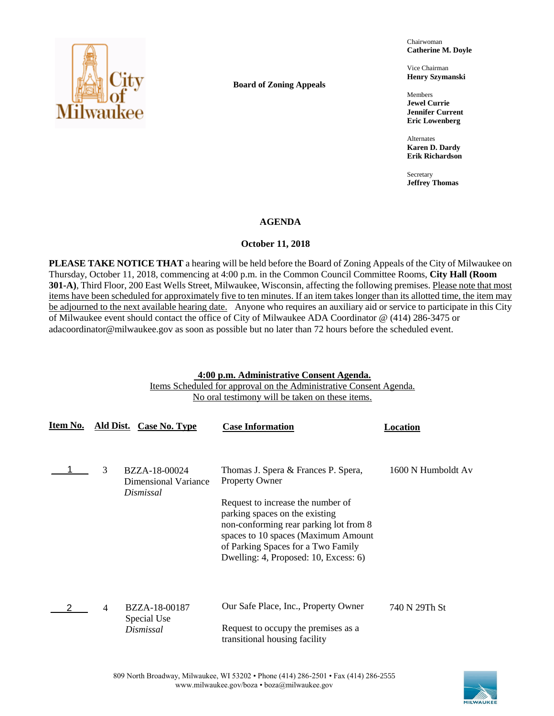

**Board of Zoning Appeals**

Chairwoman **Catherine M. Doyle**

Vice Chairman **Henry Szymanski**

Members **Jewel Currie Jennifer Current Eric Lowenberg**

Alternates **Karen D. Dardy Erik Richardson**

Secretary **Jeffrey Thomas**

## **AGENDA**

## **October 11, 2018**

**PLEASE TAKE NOTICE THAT** a hearing will be held before the Board of Zoning Appeals of the City of Milwaukee on Thursday, October 11, 2018, commencing at 4:00 p.m. in the Common Council Committee Rooms, **City Hall (Room 301-A)**, Third Floor, 200 East Wells Street, Milwaukee, Wisconsin, affecting the following premises. Please note that most items have been scheduled for approximately five to ten minutes. If an item takes longer than its allotted time, the item may be adjourned to the next available hearing date. Anyone who requires an auxiliary aid or service to participate in this City of Milwaukee event should contact the office of City of Milwaukee ADA Coordinator @ (414) 286-3475 or adacoordinator@milwaukee.gov as soon as possible but no later than 72 hours before the scheduled event.

## **4:00 p.m. Administrative Consent Agenda.**

Items Scheduled for approval on the Administrative Consent Agenda. No oral testimony will be taken on these items.

| Item No. |   | Ald Dist. Case No. Type                      | <b>Case Information</b>                                                                                                                                                                                                             | Location           |
|----------|---|----------------------------------------------|-------------------------------------------------------------------------------------------------------------------------------------------------------------------------------------------------------------------------------------|--------------------|
|          | 3 | BZZA-18-00024<br><b>Dimensional Variance</b> | Thomas J. Spera & Frances P. Spera,<br><b>Property Owner</b>                                                                                                                                                                        | 1600 N Humboldt Av |
|          |   | Dismissal                                    | Request to increase the number of<br>parking spaces on the existing<br>non-conforming rear parking lot from 8<br>spaces to 10 spaces (Maximum Amount<br>of Parking Spaces for a Two Family<br>Dwelling: 4, Proposed: 10, Excess: 6) |                    |
|          | 4 | BZZA-18-00187<br>Special Use                 | Our Safe Place, Inc., Property Owner                                                                                                                                                                                                | 740 N 29Th St      |
|          |   | Dismissal                                    | Request to occupy the premises as a<br>transitional housing facility                                                                                                                                                                |                    |

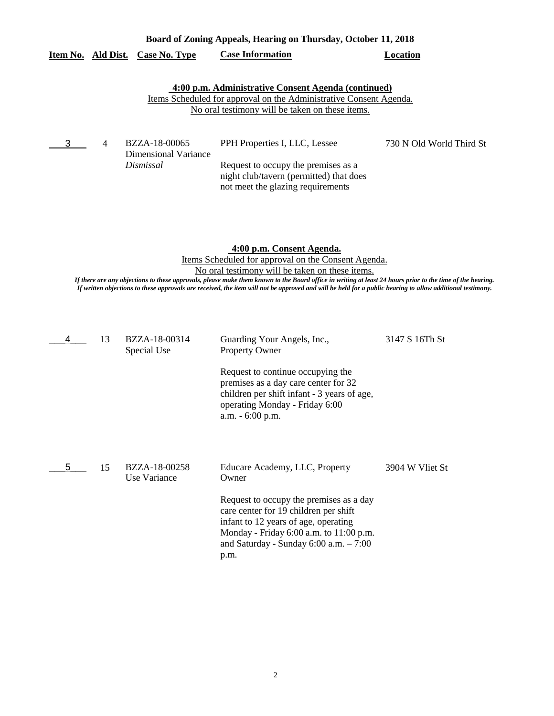| Board of Zoning Appeals, Hearing on Thursday, October 11, 2018                                                                                                                      |                |                                                    |                                                                                                                                                                                                                                                                                                  |                          |  |  |
|-------------------------------------------------------------------------------------------------------------------------------------------------------------------------------------|----------------|----------------------------------------------------|--------------------------------------------------------------------------------------------------------------------------------------------------------------------------------------------------------------------------------------------------------------------------------------------------|--------------------------|--|--|
|                                                                                                                                                                                     |                | Item No. Ald Dist. Case No. Type                   | <b>Case Information</b>                                                                                                                                                                                                                                                                          | Location                 |  |  |
| 4:00 p.m. Administrative Consent Agenda (continued)<br><u>Items Scheduled for approval on the Administrative Consent Agenda.</u><br>No oral testimony will be taken on these items. |                |                                                    |                                                                                                                                                                                                                                                                                                  |                          |  |  |
| 3                                                                                                                                                                                   | $\overline{4}$ | BZZA-18-00065<br>Dimensional Variance<br>Dismissal | PPH Properties I, LLC, Lessee<br>Request to occupy the premises as a<br>night club/tavern (permitted) that does<br>not meet the glazing requirements                                                                                                                                             | 730 N Old World Third St |  |  |
|                                                                                                                                                                                     |                |                                                    | 4:00 p.m. Consent Agenda.<br>Items Scheduled for approval on the Consent Agenda.<br>No oral testimony will be taken on these items.<br>If there are any eligations to these anamenals also angles them become to the Deam office in matters at Least Of Leona anten to the time of the beauties. |                          |  |  |

*If there are any objections to these approvals, please make them known to the Board office in writing at least 24 hours prior to the time of the hearing. If written objections to these approvals are received, the item will not be approved and will be held for a public hearing to allow additional testimony.*

|   | 13 | BZZA-18-00314<br>Special Use  | Guarding Your Angels, Inc.,<br><b>Property Owner</b><br>Request to continue occupying the<br>premises as a day care center for 32<br>children per shift infant - 3 years of age,<br>operating Monday - Friday 6:00<br>a.m. - 6:00 p.m.                                  | 3147 S 16Th St  |
|---|----|-------------------------------|-------------------------------------------------------------------------------------------------------------------------------------------------------------------------------------------------------------------------------------------------------------------------|-----------------|
| 5 | 15 | BZZA-18-00258<br>Use Variance | Educare Academy, LLC, Property<br>Owner<br>Request to occupy the premises as a day<br>care center for 19 children per shift<br>infant to 12 years of age, operating<br>Monday - Friday $6:00$ a.m. to $11:00$ p.m.<br>and Saturday - Sunday $6:00$ a.m. $-7:00$<br>p.m. | 3904 W Vliet St |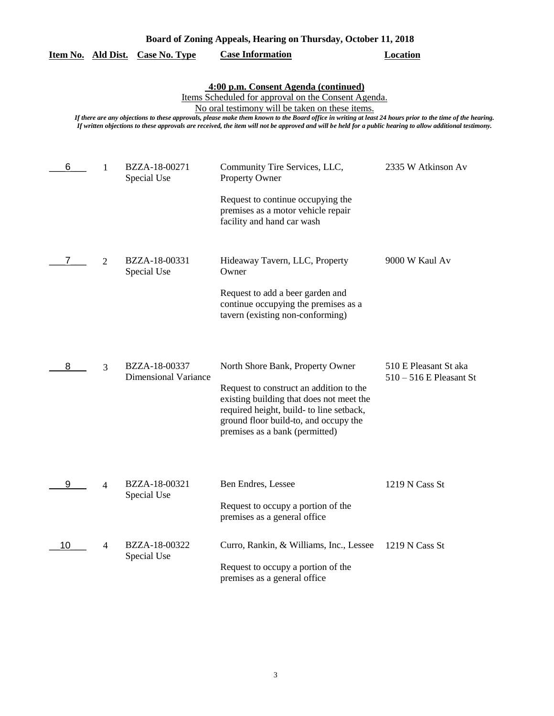| Board of Zoning Appeals, Hearing on Thursday, October 11, 2018 |                |                                              |                                                                                                                                                                                                                                                                                                                                                                                                                                                                          |                                                    |
|----------------------------------------------------------------|----------------|----------------------------------------------|--------------------------------------------------------------------------------------------------------------------------------------------------------------------------------------------------------------------------------------------------------------------------------------------------------------------------------------------------------------------------------------------------------------------------------------------------------------------------|----------------------------------------------------|
| Item No. Ald Dist.                                             |                | <b>Case No. Type</b>                         | <b>Case Information</b>                                                                                                                                                                                                                                                                                                                                                                                                                                                  | <b>Location</b>                                    |
|                                                                |                |                                              | 4:00 p.m. Consent Agenda (continued)<br>Items Scheduled for approval on the Consent Agenda.<br>No oral testimony will be taken on these items.<br>If there are any objections to these approvals, please make them known to the Board office in writing at least 24 hours prior to the time of the hearing.<br>If written objections to these approvals are received, the item will not be approved and will be held for a public hearing to allow additional testimony. |                                                    |
| 6                                                              | 1              | BZZA-18-00271<br>Special Use                 | Community Tire Services, LLC,<br><b>Property Owner</b>                                                                                                                                                                                                                                                                                                                                                                                                                   | 2335 W Atkinson Av                                 |
|                                                                |                |                                              | Request to continue occupying the<br>premises as a motor vehicle repair<br>facility and hand car wash                                                                                                                                                                                                                                                                                                                                                                    |                                                    |
|                                                                | $\overline{2}$ | BZZA-18-00331<br>Special Use                 | Hideaway Tavern, LLC, Property<br>Owner                                                                                                                                                                                                                                                                                                                                                                                                                                  | 9000 W Kaul Av                                     |
|                                                                |                |                                              | Request to add a beer garden and<br>continue occupying the premises as a<br>tavern (existing non-conforming)                                                                                                                                                                                                                                                                                                                                                             |                                                    |
| 8                                                              | 3              | BZZA-18-00337<br><b>Dimensional Variance</b> | North Shore Bank, Property Owner<br>Request to construct an addition to the<br>existing building that does not meet the<br>required height, build- to line setback,<br>ground floor build-to, and occupy the<br>premises as a bank (permitted)                                                                                                                                                                                                                           | 510 E Pleasant St aka<br>$510 - 516$ E Pleasant St |
| 9                                                              | $\overline{4}$ | BZZA-18-00321<br>Special Use                 | Ben Endres, Lessee<br>Request to occupy a portion of the<br>premises as a general office                                                                                                                                                                                                                                                                                                                                                                                 | 1219 N Cass St                                     |
| 10                                                             | 4              | BZZA-18-00322<br>Special Use                 | Curro, Rankin, & Williams, Inc., Lessee<br>Request to occupy a portion of the<br>premises as a general office                                                                                                                                                                                                                                                                                                                                                            | 1219 N Cass St                                     |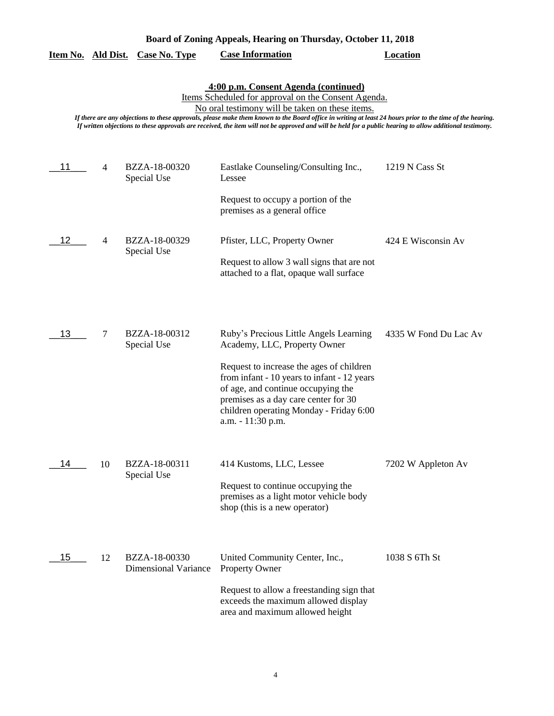| Board of Zoning Appeals, Hearing on Thursday, October 11, 2018 |                |                                              |                                                                                                                                                                                                                                                                                                                                                                                                                                                                          |                       |  |
|----------------------------------------------------------------|----------------|----------------------------------------------|--------------------------------------------------------------------------------------------------------------------------------------------------------------------------------------------------------------------------------------------------------------------------------------------------------------------------------------------------------------------------------------------------------------------------------------------------------------------------|-----------------------|--|
| Item No. Ald Dist.                                             |                | <b>Case No. Type</b>                         | <b>Case Information</b>                                                                                                                                                                                                                                                                                                                                                                                                                                                  | <b>Location</b>       |  |
|                                                                |                |                                              | 4:00 p.m. Consent Agenda (continued)<br>Items Scheduled for approval on the Consent Agenda.<br>No oral testimony will be taken on these items.<br>If there are any objections to these approvals, please make them known to the Board office in writing at least 24 hours prior to the time of the hearing.<br>If written objections to these approvals are received, the item will not be approved and will be held for a public hearing to allow additional testimony. |                       |  |
| 11                                                             | 4              | BZZA-18-00320<br>Special Use                 | Eastlake Counseling/Consulting Inc.,<br>Lessee                                                                                                                                                                                                                                                                                                                                                                                                                           | 1219 N Cass St        |  |
|                                                                |                |                                              | Request to occupy a portion of the<br>premises as a general office                                                                                                                                                                                                                                                                                                                                                                                                       |                       |  |
| 12                                                             | $\overline{4}$ | BZZA-18-00329<br>Special Use                 | Pfister, LLC, Property Owner<br>Request to allow 3 wall signs that are not<br>attached to a flat, opaque wall surface                                                                                                                                                                                                                                                                                                                                                    | 424 E Wisconsin Av    |  |
| 13                                                             | 7              | BZZA-18-00312<br>Special Use                 | Ruby's Precious Little Angels Learning<br>Academy, LLC, Property Owner<br>Request to increase the ages of children<br>from infant - 10 years to infant - 12 years<br>of age, and continue occupying the<br>premises as a day care center for 30<br>children operating Monday - Friday 6:00<br>a.m. - 11:30 p.m.                                                                                                                                                          | 4335 W Fond Du Lac Av |  |
| 14                                                             | 10             | BZZA-18-00311<br>Special Use                 | 414 Kustoms, LLC, Lessee<br>Request to continue occupying the<br>premises as a light motor vehicle body<br>shop (this is a new operator)                                                                                                                                                                                                                                                                                                                                 | 7202 W Appleton Av    |  |
| 15                                                             | 12             | BZZA-18-00330<br><b>Dimensional Variance</b> | United Community Center, Inc.,<br><b>Property Owner</b><br>Request to allow a freestanding sign that<br>exceeds the maximum allowed display<br>area and maximum allowed height                                                                                                                                                                                                                                                                                           | 1038 S 6Th St         |  |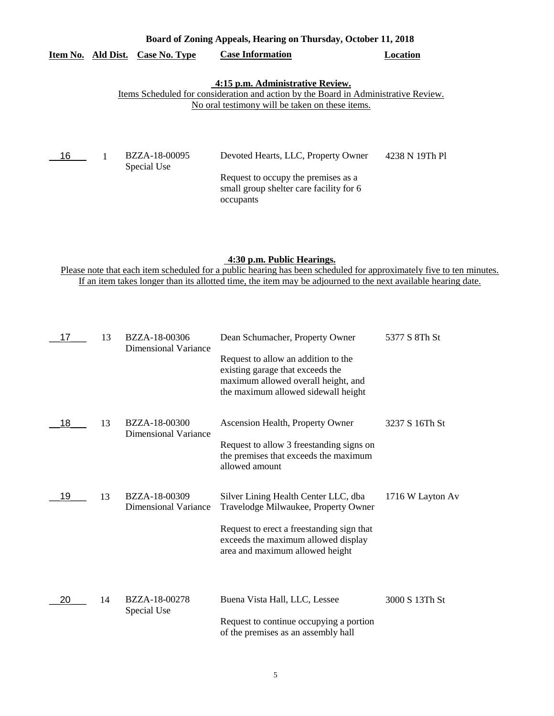# **Board of Zoning Appeals, Hearing on Thursday, October 11, 2018**

# **Item No. Ald Dist. Case No. Type Case Information Location**

#### **4:15 p.m. Administrative Review.**

### Items Scheduled for consideration and action by the Board in Administrative Review. No oral testimony will be taken on these items.

| $-16$ | BZZA-18-00095<br>Special Use | Devoted Hearts, LLC, Property Owner                                                         | 4238 N 19Th Pl |
|-------|------------------------------|---------------------------------------------------------------------------------------------|----------------|
|       |                              | Request to occupy the premises as a<br>small group shelter care facility for 6<br>occupants |                |

## **4:30 p.m. Public Hearings.**

Please note that each item scheduled for a public hearing has been scheduled for approximately five to ten minutes. If an item takes longer than its allotted time, the item may be adjourned to the next available hearing date.

| 17 | 13 | BZZA-18-00306<br><b>Dimensional Variance</b> | Dean Schumacher, Property Owner                                                                                                                       | 5377 S 8Th St    |
|----|----|----------------------------------------------|-------------------------------------------------------------------------------------------------------------------------------------------------------|------------------|
|    |    |                                              | Request to allow an addition to the<br>existing garage that exceeds the<br>maximum allowed overall height, and<br>the maximum allowed sidewall height |                  |
| 18 | 13 | BZZA-18-00300<br><b>Dimensional Variance</b> | Ascension Health, Property Owner                                                                                                                      | 3237 S 16Th St   |
|    |    |                                              | Request to allow 3 freestanding signs on<br>the premises that exceeds the maximum<br>allowed amount                                                   |                  |
| 19 | 13 | BZZA-18-00309<br><b>Dimensional Variance</b> | Silver Lining Health Center LLC, dba<br>Travelodge Milwaukee, Property Owner                                                                          | 1716 W Layton Av |
|    |    |                                              | Request to erect a freestanding sign that<br>exceeds the maximum allowed display<br>area and maximum allowed height                                   |                  |
| 20 | 14 | BZZA-18-00278<br>Special Use                 | Buena Vista Hall, LLC, Lessee<br>Request to continue occupying a portion<br>of the premises as an assembly hall                                       | 3000 S 13Th St   |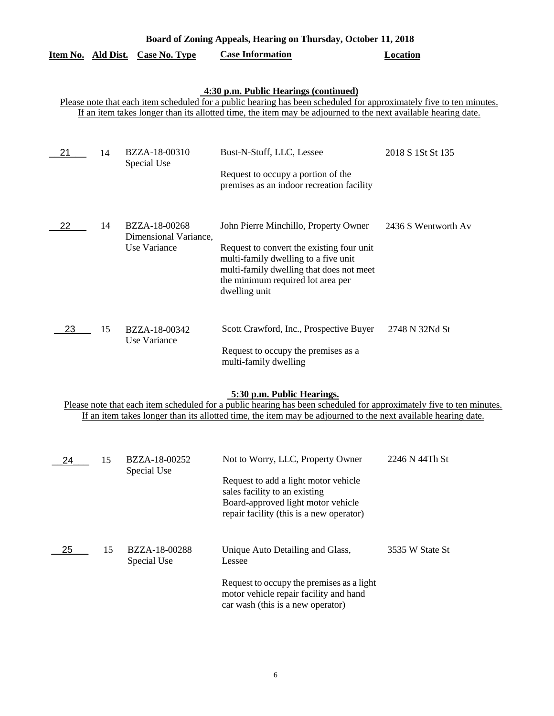| Board of Zoning Appeals, Hearing on Thursday, October 11, 2018 |                                                                                                                                                                                                                                                                               |                                                        |                                                                                                                                                                                                                                                                    |                     |  |  |  |
|----------------------------------------------------------------|-------------------------------------------------------------------------------------------------------------------------------------------------------------------------------------------------------------------------------------------------------------------------------|--------------------------------------------------------|--------------------------------------------------------------------------------------------------------------------------------------------------------------------------------------------------------------------------------------------------------------------|---------------------|--|--|--|
| Item No. Ald Dist.                                             |                                                                                                                                                                                                                                                                               | <b>Case No. Type</b>                                   | <b>Case Information</b>                                                                                                                                                                                                                                            | <b>Location</b>     |  |  |  |
|                                                                | 4:30 p.m. Public Hearings (continued)<br>Please note that each item scheduled for a public hearing has been scheduled for approximately five to ten minutes.<br>If an item takes longer than its allotted time, the item may be adjourned to the next available hearing date. |                                                        |                                                                                                                                                                                                                                                                    |                     |  |  |  |
| 21                                                             | 14                                                                                                                                                                                                                                                                            | BZZA-18-00310<br>Special Use                           | Bust-N-Stuff, LLC, Lessee<br>Request to occupy a portion of the<br>premises as an indoor recreation facility                                                                                                                                                       | 2018 S 1St St 135   |  |  |  |
| 22                                                             | 14                                                                                                                                                                                                                                                                            | BZZA-18-00268<br>Dimensional Variance,<br>Use Variance | John Pierre Minchillo, Property Owner<br>Request to convert the existing four unit<br>multi-family dwelling to a five unit<br>multi-family dwelling that does not meet<br>the minimum required lot area per<br>dwelling unit                                       | 2436 S Wentworth Av |  |  |  |
| 23                                                             | 15                                                                                                                                                                                                                                                                            | BZZA-18-00342<br><b>Use Variance</b>                   | Scott Crawford, Inc., Prospective Buyer<br>Request to occupy the premises as a<br>multi-family dwelling                                                                                                                                                            | 2748 N 32Nd St      |  |  |  |
|                                                                |                                                                                                                                                                                                                                                                               |                                                        | 5:30 p.m. Public Hearings.<br>Please note that each item scheduled for a public hearing has been scheduled for approximately five to ten minutes.<br>If an item takes longer than its allotted time, the item may be adjourned to the next available hearing date. |                     |  |  |  |
| 24                                                             | 15                                                                                                                                                                                                                                                                            | BZZA-18-00252<br>Special Use                           | Not to Worry, LLC, Property Owner<br>Request to add a light motor vehicle<br>sales facility to an existing<br>Board-approved light motor vehicle<br>repair facility (this is a new operator)                                                                       | 2246 N 44Th St      |  |  |  |
| 25                                                             | 15                                                                                                                                                                                                                                                                            | BZZA-18-00288<br>Special Use                           | Unique Auto Detailing and Glass,<br>Lessee<br>Request to occupy the premises as a light<br>motor vehicle repair facility and hand<br>car wash (this is a new operator)                                                                                             | 3535 W State St     |  |  |  |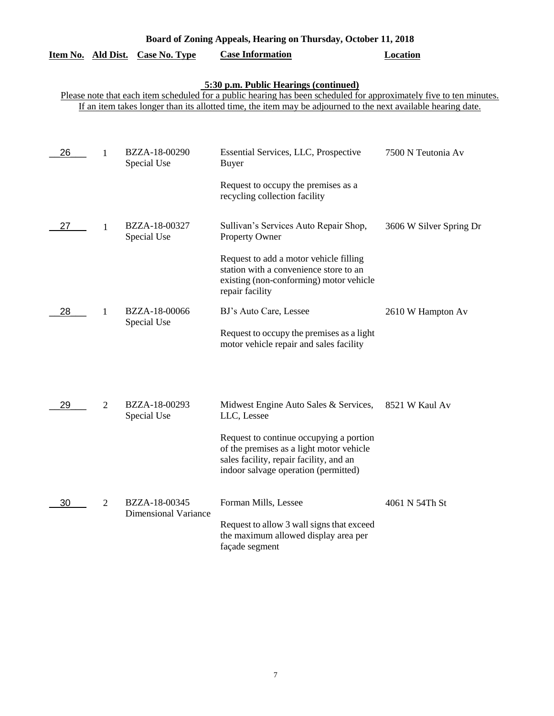| Board of Zoning Appeals, Hearing on Thursday, October 11, 2018 |           |                                              |                                                                                                                                                                                                                                                                               |                         |
|----------------------------------------------------------------|-----------|----------------------------------------------|-------------------------------------------------------------------------------------------------------------------------------------------------------------------------------------------------------------------------------------------------------------------------------|-------------------------|
| <u>Item No.</u>                                                | Ald Dist. | <b>Case No. Type</b>                         | <b>Case Information</b>                                                                                                                                                                                                                                                       | <b>Location</b>         |
|                                                                |           |                                              | 5:30 p.m. Public Hearings (continued)<br>Please note that each item scheduled for a public hearing has been scheduled for approximately five to ten minutes.<br>If an item takes longer than its allotted time, the item may be adjourned to the next available hearing date. |                         |
| 26                                                             | 1         | BZZA-18-00290<br>Special Use                 | Essential Services, LLC, Prospective<br><b>Buyer</b>                                                                                                                                                                                                                          | 7500 N Teutonia Av      |
|                                                                |           |                                              | Request to occupy the premises as a<br>recycling collection facility                                                                                                                                                                                                          |                         |
| 27                                                             | 1         | BZZA-18-00327<br>Special Use                 | Sullivan's Services Auto Repair Shop,<br>Property Owner                                                                                                                                                                                                                       | 3606 W Silver Spring Dr |
|                                                                |           |                                              | Request to add a motor vehicle filling<br>station with a convenience store to an<br>existing (non-conforming) motor vehicle<br>repair facility                                                                                                                                |                         |
| 28                                                             | 1         | BZZA-18-00066<br>Special Use                 | BJ's Auto Care, Lessee                                                                                                                                                                                                                                                        | 2610 W Hampton Av       |
|                                                                |           |                                              | Request to occupy the premises as a light<br>motor vehicle repair and sales facility                                                                                                                                                                                          |                         |
| 29                                                             | 2         | BZZA-18-00293<br>Special Use                 | Midwest Engine Auto Sales & Services,<br>LLC, Lessee                                                                                                                                                                                                                          | 8521 W Kaul Av          |
|                                                                |           |                                              | Request to continue occupying a portion<br>of the premises as a light motor vehicle<br>sales facility, repair facility, and an<br>indoor salvage operation (permitted)                                                                                                        |                         |
| 30                                                             | 2         | BZZA-18-00345<br><b>Dimensional Variance</b> | Forman Mills, Lessee                                                                                                                                                                                                                                                          | 4061 N 54Th St          |
|                                                                |           |                                              | Request to allow 3 wall signs that exceed<br>the maximum allowed display area per<br>façade segment                                                                                                                                                                           |                         |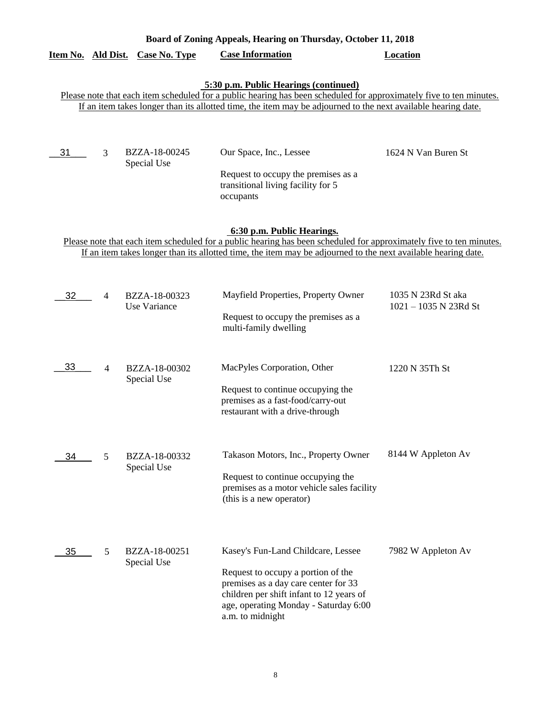|    |                | <u>Item No. Ald Dist. Case No. Type</u> | <b>Case Information</b>                                                                                                                                                                                                                                                       | <b>Location</b>                             |
|----|----------------|-----------------------------------------|-------------------------------------------------------------------------------------------------------------------------------------------------------------------------------------------------------------------------------------------------------------------------------|---------------------------------------------|
|    |                |                                         | 5:30 p.m. Public Hearings (continued)<br>Please note that each item scheduled for a public hearing has been scheduled for approximately five to ten minutes.<br>If an item takes longer than its allotted time, the item may be adjourned to the next available hearing date. |                                             |
| 31 | 3              | BZZA-18-00245<br>Special Use            | Our Space, Inc., Lessee<br>Request to occupy the premises as a<br>transitional living facility for 5<br>occupants                                                                                                                                                             | 1624 N Van Buren St                         |
|    |                |                                         | 6:30 p.m. Public Hearings.<br>Please note that each item scheduled for a public hearing has been scheduled for approximately five to ten minutes.<br>If an item takes longer than its allotted time, the item may be adjourned to the next available hearing date.            |                                             |
| 32 | $\overline{4}$ | BZZA-18-00323<br>Use Variance           | Mayfield Properties, Property Owner<br>Request to occupy the premises as a<br>multi-family dwelling                                                                                                                                                                           | 1035 N 23Rd St aka<br>1021 - 1035 N 23Rd St |
| 33 | $\overline{4}$ | BZZA-18-00302<br>Special Use            | MacPyles Corporation, Other<br>Request to continue occupying the<br>premises as a fast-food/carry-out<br>restaurant with a drive-through                                                                                                                                      | 1220 N 35Th St                              |
| 34 | 5              | BZZA-18-00332<br>Special Use            | Takason Motors, Inc., Property Owner<br>Request to continue occupying the<br>premises as a motor vehicle sales facility<br>(this is a new operator)                                                                                                                           | 8144 W Appleton Av                          |
| 35 | 5              | BZZA-18-00251<br>Special Use            | Kasey's Fun-Land Childcare, Lessee<br>Request to occupy a portion of the<br>premises as a day care center for 33<br>children per shift infant to 12 years of<br>age, operating Monday - Saturday 6:00<br>a.m. to midnight                                                     | 7982 W Appleton Av                          |

**Board of Zoning Appeals, Hearing on Thursday, October 11, 2018**